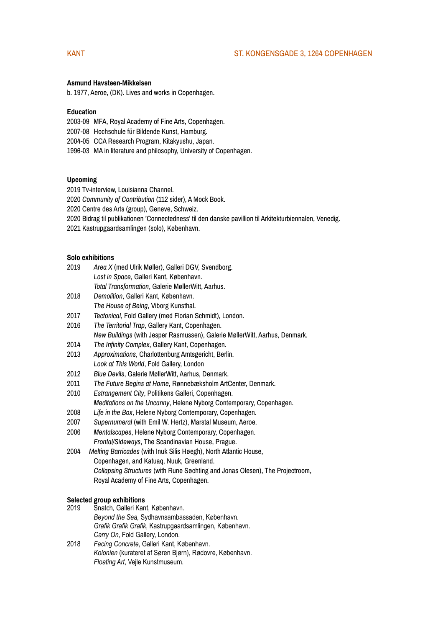# KANT ST. KONGENSGADE 3, 1264 COPENHAGEN

#### **Asmund Havsteen-Mikkelsen**

b. 1977, Aeroe, (DK). Lives and works in Copenhagen.

### **Education**

2003-09 MFA, Royal Academy of Fine Arts, Copenhagen.

- 2007-08 Hochschule für Bildende Kunst, Hamburg.
- 2004-05 CCA Research Program, Kitakyushu, Japan.
- 1996-03 MA in literature and philosophy, University of Copenhagen.

#### **Upcoming**

- 2019 Tv-interview, Louisianna Channel.
- 2020 *Community of Contribution* (112 sider), A Mock Book.
- 2020 Centre des Arts (group), Geneve, Schweiz.
- 2020 Bidrag til publikationen 'Connectedness' til den danske pavillion til Arkitekturbiennalen, Venedig.
- 2021 Kastrupgaardsamlingen (solo), København.

#### **Solo exhibitions**

- 2019 *Area X* (med Ulrik Møller), Galleri DGV, Svendborg.  *Lost in Space*, Galleri Kant, København.  *Total Transformation*, Galerie MøllerWitt, Aarhus.
- 2018 *Demolition*, Galleri Kant, København.
- *The House of Being*, Viborg Kunsthal.
- 2017 *Tectonical*, Fold Gallery (med Florian Schmidt), London.
- 2016 *The Territorial Trap*, Gallery Kant, Copenhagen.  *New Buildings* (with Jesper Rasmussen), Galerie MøllerWitt, Aarhus, Denmark.
- 2014 *The Infinity Complex*, Gallery Kant, Copenhagen.
- 2013 *Approximations*, Charlottenburg Amtsgericht, Berlin. *Look at This World*, Fold Gallery, London
- 2012 *Blue Devils*, Galerie MøllerWitt, Aarhus, Denmark.
- 2011 *The Future Begins at Home*, Rønnebæksholm ArtCenter, Denmark.
- 2010 *Estrangement City*, Politikens Galleri, Copenhagen. *Meditations on the Uncanny*, Helene Nyborg Contemporary, Copenhagen.
- 2008 *Life in the Box*, Helene Nyborg Contemporary, Copenhagen.
- 2007 *Supernumeral* (with Emil W. Hertz), Marstal Museum, Aeroe.
- 2006 *Mentalscapes*, Helene Nyborg Contemporary, Copenhagen. *Frontal/Sideways*, The Scandinavian House, Prague.
- 2004 *Melting Barricades* (with Inuk Silis Høegh), North Atlantic House, Copenhagen, and Katuaq, Nuuk, Greenland. *Collapsing Structures* (with Rune Søchting and Jonas Olesen), The Projectroom, Royal Academy of Fine Arts, Copenhagen.

#### **Selected group exhibitions**

- 2019 Snatch*,* Galleri Kant, København.  *Beyond the Sea,* Sydhavnsambassaden, København.  *Grafik Grafik Grafik*, Kastrupgaardsamlingen, København. *Carry On*, Fold Gallery, London.
- 2018 *Facing Concrete*, Galleri Kant, København. *Kolonien* (kurateret af Søren Bjørn), Rødovre, København.  *Floating Art*, Vejle Kunstmuseum.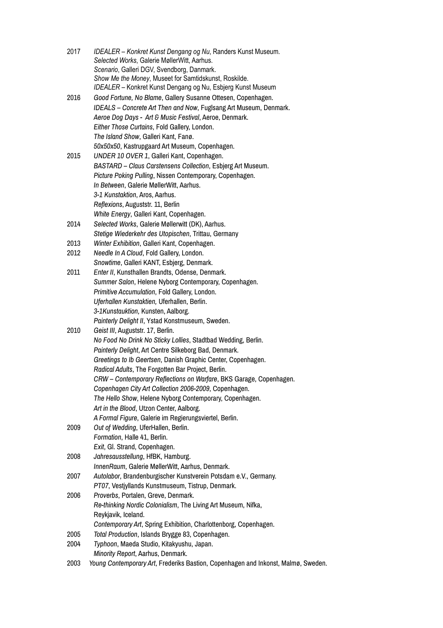| 2017 | IDEALER - Konkret Kunst Dengang og Nu, Randers Kunst Museum.<br>Selected Works, Galerie MøllerWitt, Aarhus.<br>Scenario, Galleri DGV, Svendborg, Danmark. |
|------|-----------------------------------------------------------------------------------------------------------------------------------------------------------|
|      | Show Me the Money, Museet for Samtidskunst, Roskilde.                                                                                                     |
|      | IDEALER - Konkret Kunst Dengang og Nu, Esbjerg Kunst Museum                                                                                               |
| 2016 | Good Fortune, No Blame, Gallery Susanne Ottesen, Copenhagen.                                                                                              |
|      | IDEALS - Concrete Art Then and Now, Fuglsang Art Museum, Denmark.                                                                                         |
|      | Aeroe Dog Days - Art & Music Festival, Aeroe, Denmark.                                                                                                    |
|      | Either Those Curtains, Fold Gallery, London.                                                                                                              |
|      | The Island Show, Galleri Kant, Fanø.                                                                                                                      |
|      | 50x50x50, Kastrupgaard Art Museum, Copenhagen.                                                                                                            |
| 2015 | UNDER 10 OVER 1, Galleri Kant, Copenhagen.                                                                                                                |
|      | BASTARD - Claus Carstensens Collection, Esbjerg Art Museum.                                                                                               |
|      | Picture Poking Pulling, Nissen Contemporary, Copenhagen.                                                                                                  |
|      | In Between, Galerie MøllerWitt, Aarhus.                                                                                                                   |
|      | 3-1 Kunstaktion, Aros, Aarhus.                                                                                                                            |
|      | Reflexions, Auguststr. 11, Berlin                                                                                                                         |
|      | White Energy, Galleri Kant, Copenhagen.                                                                                                                   |
| 2014 | Selected Works, Galerie Møllerwitt (DK), Aarhus.                                                                                                          |
|      | Stetige Wiederkehr des Utopischen, Trittau, Germany                                                                                                       |
| 2013 | Winter Exhibition, Galleri Kant, Copenhagen.                                                                                                              |
| 2012 | Needle In A Cloud, Fold Gallery, London.                                                                                                                  |
|      | Snowtime, Galleri KANT, Esbjerg, Denmark.                                                                                                                 |
| 2011 | Enter II, Kunsthallen Brandts, Odense, Denmark.                                                                                                           |
|      | Summer Salon, Helene Nyborg Contemporary, Copenhagen.                                                                                                     |
|      | Primitive Accumulation, Fold Gallery, London.                                                                                                             |
|      | Uferhallen Kunstaktien, Uferhallen, Berlin.                                                                                                               |
|      | 3-1Kunstauktion, Kunsten, Aalborg.                                                                                                                        |
|      | Painterly Delight II, Ystad Konstmuseum, Sweden.                                                                                                          |
| 2010 | Geist III, Auguststr. 17, Berlin.                                                                                                                         |
|      | No Food No Drink No Sticky Lollies, Stadtbad Wedding, Berlin.                                                                                             |
|      | Painterly Delight, Art Centre Silkeborg Bad, Denmark.                                                                                                     |
|      | Greetings to Ib Geertsen, Danish Graphic Center, Copenhagen.                                                                                              |
|      | Radical Adults, The Forgotten Bar Project, Berlin.                                                                                                        |
|      | CRW – Contemporary Reflections on Warfare, BKS Garage, Copenhagen.                                                                                        |
|      | Copenhagen City Art Collection 2006-2009, Copenhagen.                                                                                                     |
|      | The Hello Show, Helene Nyborg Contemporary, Copenhagen.                                                                                                   |
|      | Art in the Blood, Utzon Center, Aalborg.                                                                                                                  |
|      | A Formal Figure, Galerie im Regierungsviertel, Berlin.                                                                                                    |
| 2009 | Out of Wedding, UferHallen, Berlin.                                                                                                                       |
|      | Formation, Halle 41, Berlin.                                                                                                                              |
| 2008 | Exit, Gl. Strand, Copenhagen.<br>Jahresausstellung, HfBK, Hamburg.                                                                                        |
|      | InnenRaum, Galerie MøllerWitt, Aarhus, Denmark.                                                                                                           |
| 2007 | Autolabor, Brandenburgischer Kunstverein Potsdam e.V., Germany.                                                                                           |
|      | PT07, Vestjyllands Kunstmuseum, Tistrup, Denmark.                                                                                                         |
| 2006 | Proverbs, Portalen, Greve, Denmark.                                                                                                                       |
|      | Re-thinking Nordic Colonialism, The Living Art Museum, Nifka,                                                                                             |
|      | Reykjavik, Iceland.                                                                                                                                       |
|      | Contemporary Art, Spring Exhibition, Charlottenborg, Copenhagen.                                                                                          |
| 2005 | Total Production, Islands Brygge 83, Copenhagen.                                                                                                          |
| 2004 | Typhoon, Maeda Studio, Kitakyushu, Japan.                                                                                                                 |
|      | Minority Report, Aarhus, Denmark.                                                                                                                         |
| 2003 | Young Contemporary Art, Frederiks Bastion, Copenhagen and Inkonst, Malmø, Sweden.                                                                         |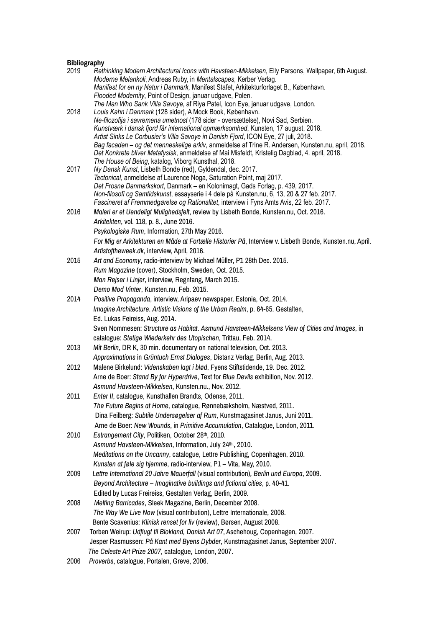# **Bibliography**

| 2019 | Rethinking Modern Architectural Icons with Havsteen-Mikkelsen, Elly Parsons, Wallpaper, 6th August.                                         |
|------|---------------------------------------------------------------------------------------------------------------------------------------------|
|      | Moderne Melankoli, Andreas Ruby, in Mentalscapes, Kerber Verlag.                                                                            |
|      | Manifest for en ny Natur i Danmark, Manifest Stafet, Arkitekturforlaget B., København.                                                      |
|      | Flooded Modernity, Point of Design, januar udgave, Polen.                                                                                   |
| 2018 | The Man Who Sank Villa Savoye, af Riya Patel, Icon Eye, januar udgave, London.<br>Louis Kahn i Danmark (128 sider), A Mock Book, København. |
|      | Ne-filozofija i savremena umetnost (178 sider - oversættelse), Novi Sad, Serbien.                                                           |
|      | Kunstværk i dansk fjord får international opmærksomhed, Kunsten, 17 august, 2018.                                                           |
|      | Artist Sinks Le Corbusier's Villa Savoye in Danish Fjord, ICON Eye, 27 juli, 2018.                                                          |
|      | Bag facaden - og det menneskelige arkiv, anmeldelse af Trine R. Andersen, Kunsten.nu, april, 2018.                                          |
|      | Det Konkrete bliver Metafysisk, anmeldelse af Mai Misfeldt, Kristelig Dagblad, 4. april, 2018.                                              |
|      | The House of Being, katalog, Viborg Kunsthal, 2018.                                                                                         |
| 2017 | Ny Dansk Kunst, Lisbeth Bonde (red), Gyldendal, dec. 2017.<br>Tectonical, anmeldelse af Laurence Noga, Saturation Point, maj 2017.          |
|      | Det Frosne Danmarkskort, Danmark – en Kolonimagt, Gads Forlag, p. 439, 2017.                                                                |
|      | Non-filosofi og Samtidskunst, essayserie i 4 dele på Kunsten.nu, 6, 13, 20 & 27 feb. 2017.                                                  |
|      | Fascineret af Fremmedgørelse og Rationalitet, interview i Fyns Amts Avis, 22 feb. 2017.                                                     |
| 2016 | Maleri er et Uendeligt Mulighedsfelt, review by Lisbeth Bonde, Kunsten.nu, Oct. 2016.                                                       |
|      | Arkitekten, vol. 118, p. 8., June 2016.                                                                                                     |
|      | Psykologiske Rum, Information, 27th May 2016.                                                                                               |
|      | For Mig er Arkitekturen en Måde at Fortælle Historier På, Interview v. Lisbeth Bonde, Kunsten.nu, April.                                    |
|      | Artistoftheweek.dk, interview, April, 2016.                                                                                                 |
| 2015 | Art and Economy, radio-interview by Michael Müller, P1 28th Dec. 2015.                                                                      |
|      | Rum Magazine (cover), Stockholm, Sweden, Oct. 2015.                                                                                         |
|      | Man Rejser i Linjer, interview, Regnfang, March 2015.                                                                                       |
|      | Demo Mod Vinter, Kunsten.nu, Feb. 2015.                                                                                                     |
| 2014 | Positive Propaganda, interview, Aripaev newspaper, Estonia, Oct. 2014.                                                                      |
|      | Imagine Architecture. Artistic Visions of the Urban Realm, p. 64-65. Gestalten,                                                             |
|      | Ed. Lukas Feireiss, Aug. 2014.                                                                                                              |
|      | Sven Nommesen: Structure as Habitat. Asmund Havsteen-Mikkelsens View of Cities and Images, in                                               |
|      | catalogue: Stetige Wiederkehr des Utopischen, Trittau, Feb. 2014.                                                                           |
| 2013 | Mit Berlin, DR K, 30 min. documentary on national television, Oct. 2013.                                                                    |
|      | Approximations in Grüntuch Ernst Dialoges, Distanz Verlag, Berlin, Aug. 2013.                                                               |
| 2012 | Malene Birkelund: Videnskaben lagt i blød, Fyens Stiftstidende, 19. Dec. 2012.                                                              |
|      | Arne de Boer: Stand By for Hyperdrive, Text for Blue Devils exhibition, Nov. 2012.                                                          |
|      | Asmund Havsteen-Mikkelsen, Kunsten.nu., Nov. 2012.                                                                                          |
| 2011 | Enter II, catalogue, Kunsthallen Brandts, Odense, 2011.                                                                                     |
|      | The Future Begins at Home, catalogue, Rønnebæksholm, Næstved, 2011.                                                                         |
|      | Dina Feilberg: Subtile Undersøgelser af Rum, Kunstmagasinet Janus, Juni 2011.                                                               |
|      | Arne de Boer: New Wounds, in Primitive Accumulation, Catalogue, London, 2011.                                                               |
| 2010 | Estrangement City, Politiken, October 28th, 2010.                                                                                           |
|      | Asmund Havsteen-Mikkelsen, Information, July 24th., 2010.                                                                                   |
|      | Meditations on the Uncanny, catalogue, Lettre Publishing, Copenhagen, 2010.                                                                 |
|      | Kunsten at føle sig hjemme, radio-interview, P1 - Vita, May, 2010.                                                                          |
| 2009 | Lettre International 20 Jahre Mauerfall (visual contribution), Berlin und Europa, 2009.                                                     |
|      | Beyond Architecture - Imaginative buildings and fictional cities, p. 40-41.                                                                 |
|      | Edited by Lucas Freireiss, Gestalten Verlag, Berlin, 2009.                                                                                  |
| 2008 | Melting Barricades, Sleek Magazine, Berlin, December 2008.                                                                                  |
|      | The Way We Live Now (visual contribution), Lettre Internationale, 2008.                                                                     |
|      | Bente Scavenius: Klinisk renset for liv (review), Børsen, August 2008.                                                                      |
| 2007 | Torben Weirup: Udflugt til Blokland, Danish Art 07, Aschehoug, Copenhagen, 2007.                                                            |
|      | Jesper Rasmussen: På Kant med Byens Dybder, Kunstmagasinet Janus, September 2007.                                                           |
|      | The Celeste Art Prize 2007, catalogue, London, 2007.                                                                                        |
| nnnn | aataladus Dastalan Osaus 0000                                                                                                               |

2006 *Proverbs*, catalogue, Portalen, Greve, 2006.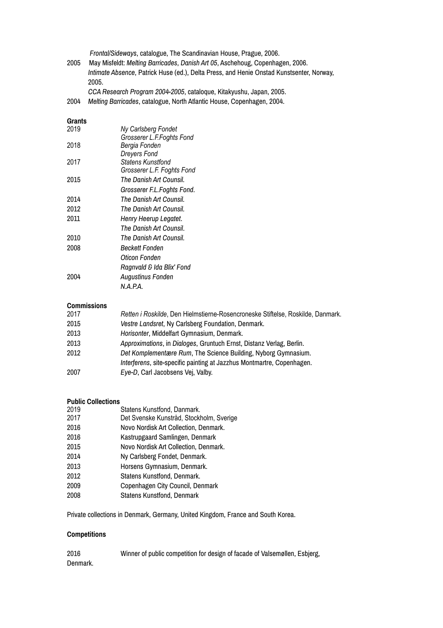*Frontal/Sideways*, catalogue, The Scandinavian House, Prague, 2006.

2005 May Misfeldt: *Melting Barricades*, *Danish Art 05*, Aschehoug, Copenhagen, 2006. *Intimate Absence*, Patrick Huse (ed.), Delta Press, and Henie Onstad Kunstsenter, Norway, 2005.

*CCA Research Program 2004-2005*, cataloque, Kitakyushu, Japan, 2005.

2004 *Melting Barricades*, catalogue, North Atlantic House, Copenhagen, 2004.

### **Grants**

| 2019 | Ny Carlsberg Fondet        |  |
|------|----------------------------|--|
|      | Grosserer L.F.Foghts Fond  |  |
| 2018 | Bergia Fonden              |  |
|      | <b>Dreyers Fond</b>        |  |
| 2017 | Statens Kunstfond          |  |
|      | Grosserer L.F. Foghts Fond |  |
| 2015 | The Danish Art Counsil.    |  |
|      | Grosserer F.L.Foghts Fond. |  |
| 2014 | The Danish Art Counsil.    |  |
| 2012 | The Danish Art Counsil.    |  |
| 2011 | Henry Heerup Legatet.      |  |
|      | The Danish Art Counsil.    |  |
| 2010 | The Danish Art Counsil.    |  |
| 2008 | <b>Beckett Fonden</b>      |  |
|      | Oticon Fonden              |  |
|      | Ragnvald & Ida Blix' Fond  |  |
| 2004 | <b>Augustinus Fonden</b>   |  |
|      | N.A.P.A.                   |  |
|      |                            |  |

# **Commissions**

| 2017 | Retten i Roskilde, Den Hielmstierne-Rosencroneske Stiftelse, Roskilde, Danmark. |
|------|---------------------------------------------------------------------------------|
| 2015 | Vestre Landsret, Ny Carlsberg Foundation, Denmark.                              |
| 2013 | Horisonter, Middelfart Gymnasium, Denmark.                                      |
| 2013 | Approximations, in Dialoges, Gruntuch Ernst, Distanz Verlag, Berlin.            |
| 2012 | Det Komplementære Rum, The Science Building, Nyborg Gymnasium.                  |
|      | Interferens, site-specific painting at Jazzhus Montmartre, Copenhagen.          |
| 2007 | Eye-D, Carl Jacobsens Vej, Valby.                                               |

## **Public Collections**

| 2019 | Statens Kunstfond, Danmark.              |
|------|------------------------------------------|
| 2017 | Det Svenske Kunstråd, Stockholm, Sverige |
| 2016 | Novo Nordisk Art Collection, Denmark.    |
| 2016 | Kastrupgaard Samlingen, Denmark          |
| 2015 | Novo Nordisk Art Collection, Denmark.    |
| 2014 | Ny Carlsberg Fondet, Denmark.            |
| 2013 | Horsens Gymnasium, Denmark.              |
| 2012 | Statens Kunstfond, Denmark.              |
| 2009 | Copenhagen City Council, Denmark         |
| 2008 | <b>Statens Kunstfond, Denmark</b>        |

Private collections in Denmark, Germany, United Kingdom, France and South Korea.

# **Competitions**

2016 Winner of public competition for design of facade of Valsemøllen, Esbjerg, Denmark.